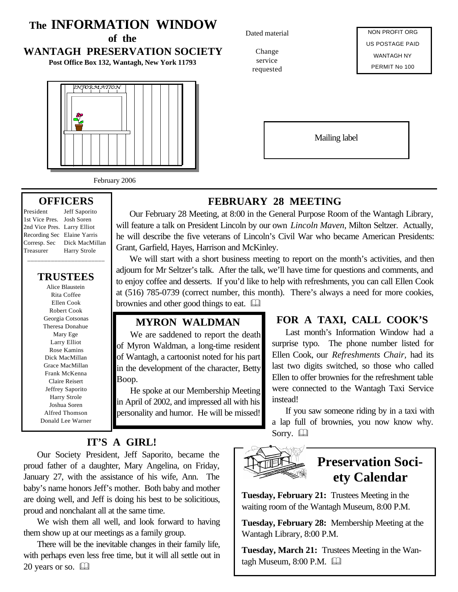## **The INFORMATION WINDOW**

**of the**

## **WANTAGH PRESERVATION SOCIETY**

**Post Office Box 132, Wantagh, New York 11793**



February 2006

## **OFFICERS**

President Jeff Saporito \_\_\_\_\_\_\_\_\_\_\_\_\_\_\_\_\_\_\_\_\_\_\_

1st Vice Pres. Josh Soren 2nd Vice Pres. Larry Elliot Recording Sec Elaine Yarris Corresp. Sec Dick MacMillan Treasurer Harry Strole

#### **TRUSTEES**

Alice Blaustein Rita Coffee Ellen Cook Robert Cook Georgia Cotsonas Theresa Donahue Mary Ege Larry Elliot Rose Kamins Dick MacMillan Grace MacMillan Frank McKenna Claire Reisert Jeffrey Saporito Harry Strole Joshua Soren Alfred Thomson Donald Lee Warner Dated material

Change service requested

NON PROFIT ORG US POSTAGE PAID WANTAGH NY PERMIT No 100

Mailing label

## **FEBRUARY 28 MEETING**

Our February 28 Meeting, at 8:00 in the General Purpose Room of the Wantagh Library, will feature a talk on President Lincoln by our own *Lincoln Maven*, Milton Seltzer. Actually, he will describe the five veterans of Lincoln's Civil War who became American Presidents: Grant, Garfield, Hayes, Harrison and McKinley.

We will start with a short business meeting to report on the month's activities, and then adjourn for Mr Seltzer's talk. After the talk, we'll have time for questions and comments, and to enjoy coffee and desserts. If you'd like to help with refreshments, you can call Ellen Cook at (516) 785-0739 (correct number, this month). There's always a need for more cookies, brownies and other good things to eat.  $\Box$ 

## **MYRON WALDMAN**

We are saddened to report the death of Myron Waldman, a long-time resident of Wantagh, a cartoonist noted for his part in the development of the character, Betty Boop.

He spoke at our Membership Meeting in April of 2002, and impressed all with his personality and humor. He will be missed!

## **FOR A TAXI, CALL COOK'S**

Last month's Information Window had a surprise typo. The phone number listed for Ellen Cook, our *Refreshments Chair,* had its last two digits switched, so those who called Ellen to offer brownies for the refreshment table were connected to the Wantagh Taxi Service instead!

If you saw someone riding by in a taxi with a lap full of brownies, you now know why. Sorry.  $\Box$ 

## **IT'S A GIRL!**

Our Society President, Jeff Saporito, became the proud father of a daughter, Mary Angelina, on Friday, January 27, with the assistance of his wife, Ann. The baby's name honors Jeff's mother. Both baby and mother are doing well, and Jeff is doing his best to be solicitious, proud and nonchalant all at the same time.

We wish them all well, and look forward to having them show up at our meetings as a family group.

There will be the inevitable changes in their family life, with perhaps even less free time, but it will all settle out in 20 years or so.  $\Box$ 



## **Preservation Society Calendar**

**Tuesday, February 21:** Trustees Meeting in the waiting room of the Wantagh Museum, 8:00 P.M.

**Tuesday, February 28:** Membership Meeting at the Wantagh Library, 8:00 P.M.

**Tuesday, March 21:** Trustees Meeting in the Wantagh Museum,  $8:00$  P.M.  $\Box$